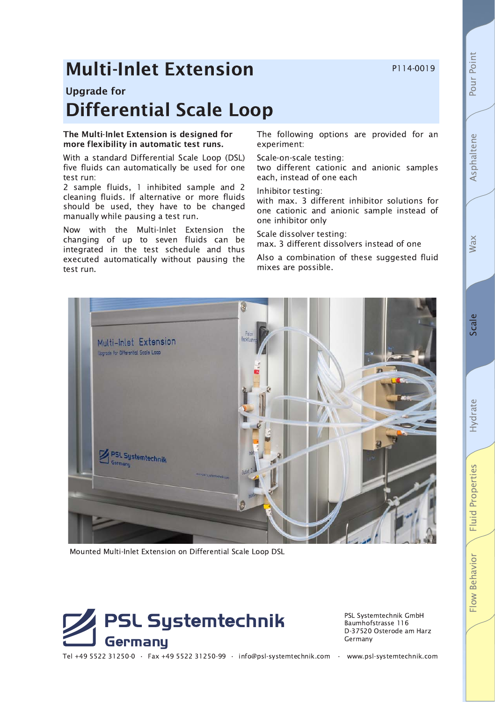P114-0019

# **Multi-Inlet Extension**

# **Upgrade for Differential Scale Loop**

## The Multi-Inlet Extension is designed for more flexibility in automatic test runs.

With a standard Differential Scale Loop (DSL) five fluids can automatically be used for one test run:

2 sample fluids, 1 inhibited sample and 2 cleaning fluids. If alternative or more fluids should be used, they have to be changed manually while pausing a test run.

Now with the Multi-Inlet Extension the changing of up to seven fluids can be integrated in the test schedule and thus executed automatically without pausing the test run.

The following options are provided for an experiment:

#### Scale-on-scale testing:

two different cationic and anionic samples each, instead of one each

#### Inhibitor testing:

with max. 3 different inhibitor solutions for one cationic and anionic sample instead of one inhibitor only

Scale dissolver testing:

max. 3 different dissolvers instead of one

Also a combination of these suggested fluid mixes are possible.



Mounted Multi-Inlet Extension on Differential Scale Loop DSL



PSL Systemtechnik GmbH Baumhofstrasse 116 D-37520 Osterode am Harz Germany

Tel +49 5522 31250-0 · Fax +49 5522 31250-99 · info@psl-systemtechnik.com · www.psl-systemtechnik.com

Wax

Pour Point

Asphaltene